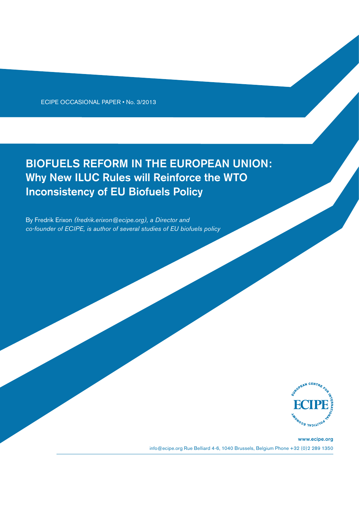ECIPE OCCASIONAL PAPER • No. 3/2013

# BIOFUELS REFORM IN THE EUROPEAN UNION: Why New ILUC Rules will Reinforce the WTO Inconsistency of EU Biofuels Policy

By Fredrik Erixon *(fredrik.erixon@ecipe.org), a Director and co-founder of ECIPE, is author of several studies of EU biofuels policy*



www.ecipe.org info@ecipe.org Rue Belliard 4-6, 1040 Brussels, Belgium Phone +32 (0)2 289 1350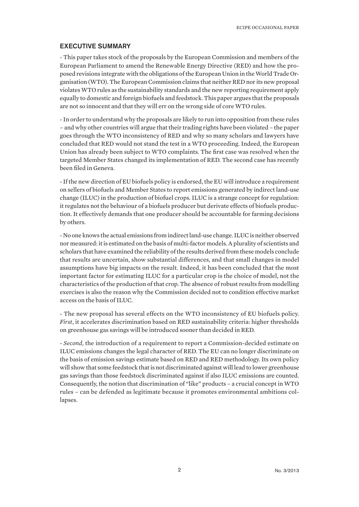#### EXECUTIVE SUMMARY

- This paper takes stock of the proposals by the European Commission and members of the European Parliament to amend the Renewable Energy Directive (RED) and how the proposed revisions integrate with the obligations of the European Union in the World Trade Organisation (WTO). The European Commission claims that neither RED nor its new proposal violates WTO rules as the sustainability standards and the new reporting requirement apply equally to domestic and foreign biofuels and feedstock. This paper argues that the proposals are not so innocent and that they will err on the wrong side of core WTO rules.

- In order to understand why the proposals are likely to run into opposition from these rules – and why other countries will argue that their trading rights have been violated – the paper goes through the WTO inconsistency of RED and why so many scholars and lawyers have concluded that RED would not stand the test in a WTO proceeding. Indeed, the European Union has already been subject to WTO complaints. The first case was resolved when the targeted Member States changed its implementation of RED. The second case has recently been filed in Geneva.

- If the new direction of EU biofuels policy is endorsed, the EU will introduce a requirement on sellers of biofuels and Member States to report emissions generated by indirect land-use change (ILUC) in the production of biofuel crops. ILUC is a strange concept for regulation: it regulates not the behaviour of a biofuels producer but derivate effects of biofuels production. It effectively demands that one producer should be accountable for farming decisions by others.

- No one knows the actual emissions from indirect land-use change. ILUC is neither observed nor measured: it is estimated on the basis of multi-factor models. A plurality of scientists and scholars that have examined the reliability of the results derived from these models conclude that results are uncertain, show substantial differences, and that small changes in model assumptions have big impacts on the result. Indeed, it has been concluded that the most important factor for estimating ILUC for a particular crop is the choice of model, not the characteristics of the production of that crop. The absence of robust results from modelling exercises is also the reason why the Commission decided not to condition effective market access on the basis of ILUC.

- The new proposal has several effects on the WTO inconsistency of EU biofuels policy. *First*, it accelerates discrimination based on RED sustainability criteria: higher thresholds on greenhouse gas savings will be introduced sooner than decided in RED.

- *Second*, the introduction of a requirement to report a Commission-decided estimate on ILUC emissions changes the legal character of RED. The EU can no longer discriminate on the basis of emission savings estimate based on RED and RED methodology. Its own policy will show that some feedstock that is not discriminated against will lead to lower greenhouse gas savings than those feedstock discriminated against if also ILUC emissions are counted. Consequently, the notion that discrimination of "like" products – a crucial concept in WTO rules – can be defended as legitimate because it promotes environmental ambitions collapses.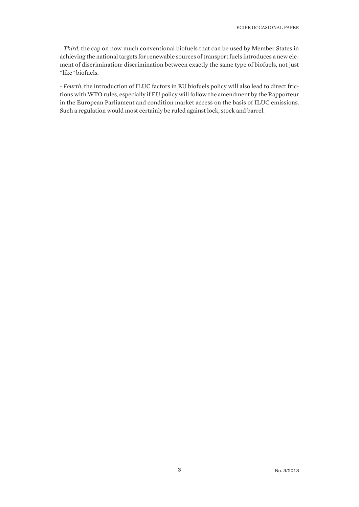- *Third*, the cap on how much conventional biofuels that can be used by Member States in achieving the national targets for renewable sources of transport fuels introduces a new element of discrimination: discrimination between exactly the same type of biofuels, not just "like" biofuels.

- *Fourth*, the introduction of ILUC factors in EU biofuels policy will also lead to direct frictions with WTO rules, especially if EU policy will follow the amendment by the Rapporteur in the European Parliament and condition market access on the basis of ILUC emissions. Such a regulation would most certainly be ruled against lock, stock and barrel.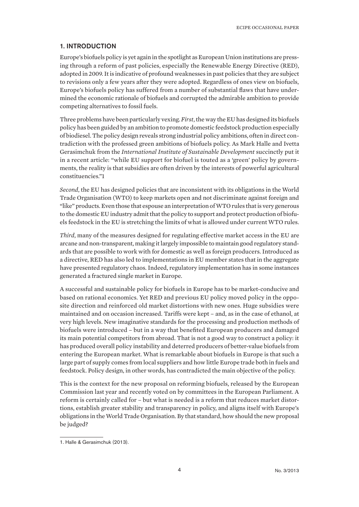#### 1. INTRODUCTION

Europe's biofuels policy is yet again in the spotlight as European Union institutions are pressing through a reform of past policies, especially the Renewable Energy Directive (RED), adopted in 2009. It is indicative of profound weaknesses in past policies that they are subject to revisions only a few years after they were adopted. Regardless of ones view on biofuels, Europe's biofuels policy has suffered from a number of substantial flaws that have undermined the economic rationale of biofuels and corrupted the admirable ambition to provide competing alternatives to fossil fuels.

Three problems have been particularly vexing. *First*, the way the EU has designed its biofuels policy has been guided by an ambition to promote domestic feedstock production especially of biodiesel. The policy design reveals strong industrial policy ambitions, often in direct contradiction with the professed green ambitions of biofuels policy. As Mark Halle and Ivetta Gerasimchuk from the *International Institute of Sustainable Development* succinctly put it in a recent article: "while EU support for biofuel is touted as a 'green' policy by governments, the reality is that subsidies are often driven by the interests of powerful agricultural constituencies."1

*Second*, the EU has designed policies that are inconsistent with its obligations in the World Trade Organisation (WTO) to keep markets open and not discriminate against foreign and "like" products. Even those that espouse an interpretation of WTO rules that is very generous to the domestic EU industry admit that the policy to support and protect production of biofuels feedstock in the EU is stretching the limits of what is allowed under current WTO rules.

*Third*, many of the measures designed for regulating effective market access in the EU are arcane and non-transparent, making it largely impossible to maintain good regulatory standards that are possible to work with for domestic as well as foreign producers. Introduced as a directive, RED has also led to implementations in EU member states that in the aggregate have presented regulatory chaos. Indeed, regulatory implementation has in some instances generated a fractured single market in Europe.

A successful and sustainable policy for biofuels in Europe has to be market-conducive and based on rational economics. Yet RED and previous EU policy moved policy in the opposite direction and reinforced old market distortions with new ones. Huge subsidies were maintained and on occasion increased. Tariffs were kept – and, as in the case of ethanol, at very high levels. New imaginative standards for the processing and production methods of biofuels were introduced – but in a way that benefited European producers and damaged its main potential competitors from abroad. That is not a good way to construct a policy: it has produced overall policy instability and deterred producers of better-value biofuels from entering the European market. What is remarkable about biofuels in Europe is that such a large part of supply comes from local suppliers and how little Europe trade both in fuels and feedstock. Policy design, in other words, has contradicted the main objective of the policy.

This is the context for the new proposal on reforming biofuels, released by the European Commission last year and recently voted on by committees in the European Parliament. A reform is certainly called for – but what is needed is a reform that reduces market distortions, establish greater stability and transparency in policy, and aligns itself with Europe's obligations in the World Trade Organisation. By that standard, how should the new proposal be judged?

<sup>1.</sup> Halle & Gerasimchuk (2013).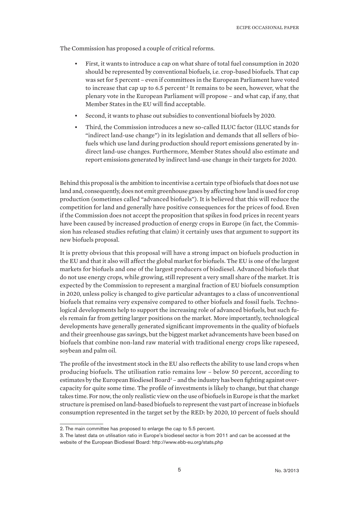The Commission has proposed a couple of critical reforms.

- First, it wants to introduce a cap on what share of total fuel consumption in 2020 should be represented by conventional biofuels, i.e. crop-based biofuels. That cap was set for 5 percent – even if committees in the European Parliament have voted to increase that cap up to 6.5 percent<sup>2</sup> It remains to be seen, however, what the plenary vote in the European Parliament will propose – and what cap, if any, that Member States in the EU will find acceptable.
- Second, it wants to phase out subsidies to conventional biofuels by 2020.
- Third, the Commission introduces a new so-called ILUC factor (ILUC stands for "indirect land-use change") in its legislation and demands that all sellers of biofuels which use land during production should report emissions generated by indirect land-use changes. Furthermore, Member States should also estimate and report emissions generated by indirect land-use change in their targets for 2020.

Behind this proposal is the ambition to incentivise a certain type of biofuels that does not use land and, consequently, does not emit greenhouse gases by affecting how land is used for crop production (sometimes called "advanced biofuels"). It is believed that this will reduce the competition for land and generally have positive consequences for the prices of food. Even if the Commission does not accept the proposition that spikes in food prices in recent years have been caused by increased production of energy crops in Europe (in fact, the Commission has released studies refuting that claim) it certainly uses that argument to support its new biofuels proposal.

It is pretty obvious that this proposal will have a strong impact on biofuels production in the EU and that it also will affect the global market for biofuels. The EU is one of the largest markets for biofuels and one of the largest producers of biodiesel. Advanced biofuels that do not use energy crops, while growing, still represent a very small share of the market. It is expected by the Commission to represent a marginal fraction of EU biofuels consumption in 2020, unless policy is changed to give particular advantages to a class of unconventional biofuels that remains very expensive compared to other biofuels and fossil fuels. Technological developments help to support the increasing role of advanced biofuels, but such fuels remain far from getting larger positions on the market. More importantly, technological developments have generally generated significant improvements in the quality of biofuels and their greenhouse gas savings, but the biggest market advancements have been based on biofuels that combine non-land raw material with traditional energy crops like rapeseed, soybean and palm oil.

The profile of the investment stock in the EU also reflects the ability to use land crops when producing biofuels. The utilisation ratio remains low – below 50 percent, according to estimates by the European Biodiesel Board<sup>3</sup> – and the industry has been fighting against overcapacity for quite some time. The profile of investments is likely to change, but that change takes time. For now, the only realistic view on the use of biofuels in Europe is that the market structure is premised on land-based biofuels to represent the vast part of increase in biofuels consumption represented in the target set by the RED: by 2020, 10 percent of fuels should

<sup>2.</sup> The main committee has proposed to enlarge the cap to 5.5 percent.

<sup>3.</sup> The latest data on utilisation ratio in Europe's biodiesel sector is from 2011 and can be accessed at the website of the European Biodiesel Board: http://www.ebb-eu.org/stats.php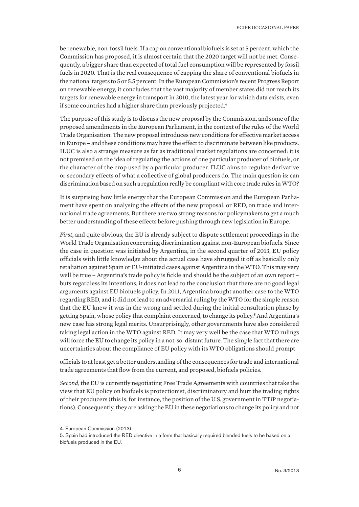be renewable, non-fossil fuels. If a cap on conventional biofuels is set at 5 percent, which the Commission has proposed, it is almost certain that the 2020 target will not be met. Consequently, a bigger share than expected of total fuel consumption will be represented by fossil fuels in 2020. That is the real consequence of capping the share of conventional biofuels in the national targets to 5 or 5.5 percent. In the European Commission's recent Progress Report on renewable energy, it concludes that the vast majority of member states did not reach its targets for renewable energy in transport in 2010, the latest year for which data exists, even if some countries had a higher share than previously projected.<sup>4</sup>

The purpose of this study is to discuss the new proposal by the Commission, and some of the proposed amendments in the European Parliament, in the context of the rules of the World Trade Organisation. The new proposal introduces new conditions for effective market access in Europe – and these conditions may have the effect to discriminate between like products. ILUC is also a strange measure as far as traditional market regulations are concerned: it is not premised on the idea of regulating the actions of one particular producer of biofuels, or the character of the crop used by a particular producer. ILUC aims to regulate derivative or secondary effects of what a collective of global producers do. The main question is: can discrimination based on such a regulation really be compliant with core trade rules in WTO?

It is surprising how little energy that the European Commission and the European Parliament have spent on analysing the effects of the new proposal, or RED, on trade and international trade agreements. But there are two strong reasons for policymakers to get a much better understanding of these effects before pushing through new legislation in Europe.

*First*, and quite obvious, the EU is already subject to dispute settlement proceedings in the World Trade Organisation concerning discrimination against non-European biofuels. Since the case in question was initiated by Argentina, in the second quarter of 2013, EU policy officials with little knowledge about the actual case have shrugged it off as basically only retaliation against Spain or EU-initiated cases against Argentina in the WTO. This may very well be true – Argentina's trade policy is fickle and should be the subject of an own report – buts regardless its intentions, it does not lead to the conclusion that there are no good legal arguments against EU biofuels policy. In 2011, Argentina brought another case to the WTO regarding RED, and it did not lead to an adversarial ruling by the WTO for the simple reason that the EU knew it was in the wrong and settled during the initial consultation phase by getting Spain, whose policy that complaint concerned, to change its policy.<sup>5</sup> And Argentina's new case has strong legal merits. Unsurprisingly, other governments have also considered taking legal action in the WTO against RED. It may very well be the case that WTO rulings will force the EU to change its policy in a not-so-distant future. The simple fact that there are uncertainties about the compliance of EU policy with its WTO obligations should prompt

officials to at least get a better understanding of the consequences for trade and international trade agreements that flow from the current, and proposed, biofuels policies.

*Second*, the EU is currently negotiating Free Trade Agreements with countries that take the view that EU policy on biofuels is protectionist, discriminatory and hurt the trading rights of their producers (this is, for instance, the position of the U.S. government in TTiP negotiations). Consequently, they are asking the EU in these negotiations to change its policy and not

<sup>4.</sup> European Commission (2013).

<sup>5.</sup> Spain had introduced the RED directive in a form that basically required blended fuels to be based on a biofuels produced in the EU.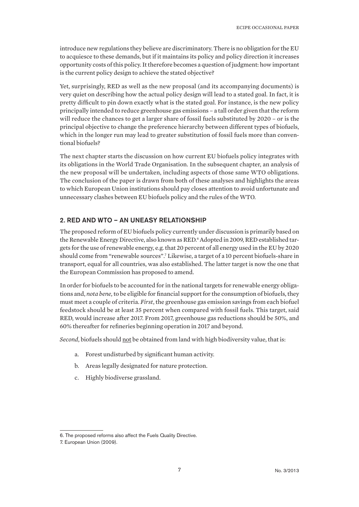introduce new regulations they believe are discriminatory. There is no obligation for the EU to acquiesce to these demands, but if it maintains its policy and policy direction it increases opportunity costs of this policy. It therefore becomes a question of judgment: how important is the current policy design to achieve the stated objective?

Yet, surprisingly, RED as well as the new proposal (and its accompanying documents) is very quiet on describing how the actual policy design will lead to a stated goal. In fact, it is pretty difficult to pin down exactly what is the stated goal. For instance, is the new policy principally intended to reduce greenhouse gas emissions – a tall order given that the reform will reduce the chances to get a larger share of fossil fuels substituted by 2020 – or is the principal objective to change the preference hierarchy between different types of biofuels, which in the longer run may lead to greater substitution of fossil fuels more than conventional biofuels?

The next chapter starts the discussion on how current EU biofuels policy integrates with its obligations in the World Trade Organisation. In the subsequent chapter, an analysis of the new proposal will be undertaken, including aspects of those same WTO obligations. The conclusion of the paper is drawn from both of these analyses and highlights the areas to which European Union institutions should pay closes attention to avoid unfortunate and unnecessary clashes between EU biofuels policy and the rules of the WTO.

#### 2. RED AND WTO – AN UNEASY RELATIONSHIP

The proposed reform of EU biofuels policy currently under discussion is primarily based on the Renewable Energy Directive, also known as RED.6 Adopted in 2009, RED established targets for the use of renewable energy, e.g. that 20 percent of all energy used in the EU by 2020 should come from "renewable sources".7 Likewise, a target of a 10 percent biofuels-share in transport, equal for all countries, was also established. The latter target is now the one that the European Commission has proposed to amend.

In order for biofuels to be accounted for in the national targets for renewable energy obligations and, *nota bene,* to be eligible for financial support for the consumption of biofuels, they must meet a couple of criteria. *First*, the greenhouse gas emission savings from each biofuel feedstock should be at least 35 percent when compared with fossil fuels. This target, said RED, would increase after 2017. From 2017, greenhouse gas reductions should be 50%, and 60% thereafter for refineries beginning operation in 2017 and beyond.

*Second*, biofuels should not be obtained from land with high biodiversity value, that is:

- a. Forest undisturbed by significant human activity.
- b. Areas legally designated for nature protection.
- c. Highly biodiverse grassland.

<sup>6.</sup> The proposed reforms also affect the Fuels Quality Directive.

<sup>7.</sup> European Union (2009).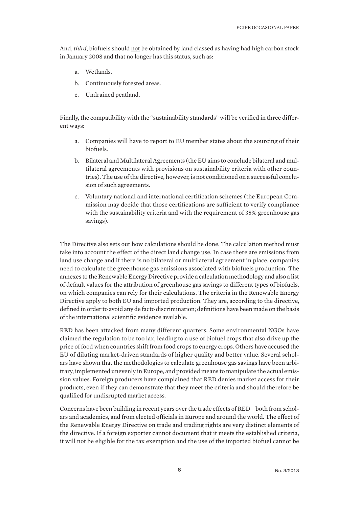And, *third*, biofuels should not be obtained by land classed as having had high carbon stock in January 2008 and that no longer has this status, such as:

- a. Wetlands.
- b. Continuously forested areas.
- c. Undrained peatland.

Finally, the compatibility with the "sustainability standards" will be verified in three different ways:

- a. Companies will have to report to EU member states about the sourcing of their biofuels.
- b. Bilateral and Multilateral Agreements (the EU aims to conclude bilateral and multilateral agreements with provisions on sustainability criteria with other countries). The use of the directive, however, is not conditioned on a successful conclusion of such agreements.
- c. Voluntary national and international certification schemes (the European Commission may decide that those certifications are sufficient to verify compliance with the sustainability criteria and with the requirement of 35% greenhouse gas savings).

The Directive also sets out how calculations should be done. The calculation method must take into account the effect of the direct land change use. In case there are emissions from land use change and if there is no bilateral or multilateral agreement in place, companies need to calculate the greenhouse gas emissions associated with biofuels production. The annexes to the Renewable Energy Directive provide a calculation methodology and also a list of default values for the attribution of greenhouse gas savings to different types of biofuels, on which companies can rely for their calculations. The criteria in the Renewable Energy Directive apply to both EU and imported production. They are, according to the directive, defined in order to avoid any de facto discrimination; definitions have been made on the basis of the international scientific evidence available.

RED has been attacked from many different quarters. Some environmental NGOs have claimed the regulation to be too lax, leading to a use of biofuel crops that also drive up the price of food when countries shift from food crops to energy crops. Others have accused the EU of diluting market-driven standards of higher quality and better value. Several scholars have shown that the methodologies to calculate greenhouse gas savings have been arbitrary, implemented unevenly in Europe, and provided means to manipulate the actual emission values. Foreign producers have complained that RED denies market access for their products, even if they can demonstrate that they meet the criteria and should therefore be qualified for undisrupted market access.

Concerns have been building in recent years over the trade effects of RED – both from scholars and academics, and from elected officials in Europe and around the world. The effect of the Renewable Energy Directive on trade and trading rights are very distinct elements of the directive. If a foreign exporter cannot document that it meets the established criteria, it will not be eligible for the tax exemption and the use of the imported biofuel cannot be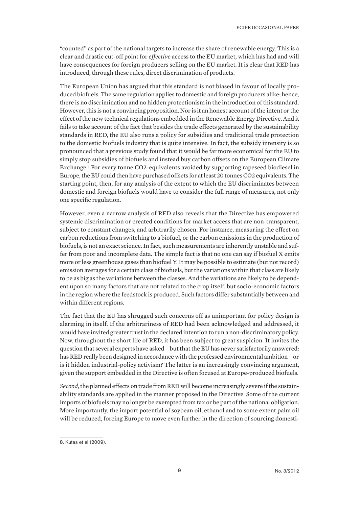"counted" as part of the national targets to increase the share of renewable energy. This is a clear and drastic cut-off point for *effective* access to the EU market, which has had and will have consequences for foreign producers selling on the EU market. It is clear that RED has introduced, through these rules, direct discrimination of products.

The European Union has argued that this standard is not biased in favour of locally produced biofuels. The same regulation applies to domestic and foreign producers alike; hence, there is no discrimination and no hidden protectionism in the introduction of this standard. However, this is not a convincing proposition. Nor is it an honest account of the intent or the effect of the new technical regulations embedded in the Renewable Energy Directive. And it fails to take account of the fact that besides the trade effects generated by the sustainability standards in RED, the EU also runs a policy for subsidies and traditional trade protection to the domestic biofuels industry that is quite intensive. In fact, the subsidy intensity is so pronounced that a previous study found that it would be far more economical for the EU to simply stop subsidies of biofuels and instead buy carbon offsets on the European Climate Exchange.<sup>8</sup> For every tonne CO2-equivalents avoided by supporting rapeseed biodiesel in Europe, the EU could then have purchased offsets for at least 20 tonnes CO2 equivalents. The starting point, then, for any analysis of the extent to which the EU discriminates between domestic and foreign biofuels would have to consider the full range of measures, not only one specific regulation.

However, even a narrow analysis of RED also reveals that the Directive has empowered systemic discrimination or created conditions for market access that are non-transparent, subject to constant changes, and arbitrarily chosen. For instance, measuring the effect on carbon reductions from switching to a biofuel, or the carbon emissions in the production of biofuels, is not an exact science. In fact, such measurements are inherently unstable and suffer from poor and incomplete data. The simple fact is that no one can say if biofuel X emits more or less greenhouse gases than biofuel Y. It may be possible to estimate (but not record) emission averages for a certain class of biofuels, but the variations within that class are likely to be as big as the variations between the classes. And the variations are likely to be dependent upon so many factors that are not related to the crop itself, but socio-economic factors in the region where the feedstock is produced. Such factors differ substantially between and within different regions.

The fact that the EU has shrugged such concerns off as unimportant for policy design is alarming in itself. If the arbitrariness of RED had been acknowledged and addressed, it would have invited greater trust in the declared intention to run a non-discriminatory policy. Now, throughout the short life of RED, it has been subject to great suspicion. It invites the question that several experts have asked – but that the EU has never satisfactorily answered: has RED really been designed in accordance with the professed environmental ambition – or is it hidden industrial-policy activism? The latter is an increasingly convincing argument, given the support embedded in the Directive is often focused at Europe-produced biofuels.

*Second*, the planned effects on trade from RED will become increasingly severe if the sustainability standards are applied in the manner proposed in the Directive. Some of the current imports of biofuels may no longer be exempted from tax or be part of the national obligation. More importantly, the import potential of soybean oil, ethanol and to some extent palm oil will be reduced, forcing Europe to move even further in the direction of sourcing domesti-

<sup>8.</sup> Kutas et al (2009).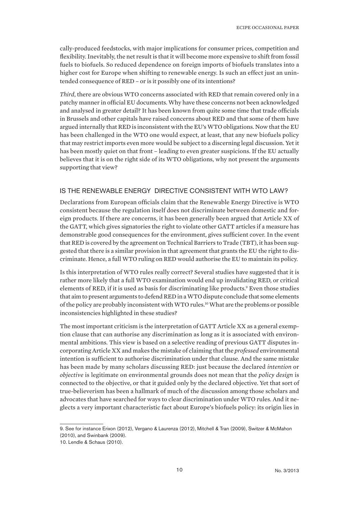cally-produced feedstocks, with major implications for consumer prices, competition and flexibility. Inevitably, the net result is that it will become more expensive to shift from fossil fuels to biofuels. So reduced dependence on foreign imports of biofuels translates into a higher cost for Europe when shifting to renewable energy. Is such an effect just an unintended consequence of RED – or is it possibly one of its intentions?

*Third*, there are obvious WTO concerns associated with RED that remain covered only in a patchy manner in official EU documents. Why have these concerns not been acknowledged and analysed in greater detail? It has been known from quite some time that trade officials in Brussels and other capitals have raised concerns about RED and that some of them have argued internally that RED is inconsistent with the EU's WTO obligations. Now that the EU has been challenged in the WTO one would expect, at least, that any new biofuels policy that may restrict imports even more would be subject to a discerning legal discussion. Yet it has been mostly quiet on that front – leading to even greater suspicions. If the EU actually believes that it is on the right side of its WTO obligations, why not present the arguments supporting that view?

## IS THE RENEWABLE ENERGY DIRECTIVE CONSISTENT WITH WTO LAW?

Declarations from European officials claim that the Renewable Energy Directive is WTO consistent because the regulation itself does not discriminate between domestic and foreign products. If there are concerns, it has been generally been argued that Article XX of the GATT, which gives signatories the right to violate other GATT articles if a measure has demonstrable good consequences for the environment, gives sufficient cover. In the event that RED is covered by the agreement on Technical Barriers to Trade (TBT), it has been suggested that there is a similar provision in that agreement that grants the EU the right to discriminate. Hence, a full WTO ruling on RED would authorise the EU to maintain its policy.

Is this interpretation of WTO rules really correct? Several studies have suggested that it is rather more likely that a full WTO examination would end up invalidating RED, or critical elements of RED, if it is used as basis for discriminating like products.<sup>9</sup> Even those studies that aim to present arguments to defend RED in a WTO dispute conclude that some elements of the policy are probably inconsistent with WTO rules.10 What are the problems or possible inconsistencies highlighted in these studies?

The most important criticism is the interpretation of GATT Article XX as a general exemption clause that can authorise any discrimination as long as it is associated with environmental ambitions. This view is based on a selective reading of previous GATT disputes incorporating Article XX and makes the mistake of claiming that the *professed* environmental intention is sufficient to authorise discrimination under that clause. And the same mistake has been made by many scholars discussing RED: just because the declared *intention* or *objective* is legitimate on environmental grounds does not mean that the *policy design* is connected to the objective, or that it guided only by the declared objective. Yet that sort of true-believerism has been a hallmark of much of the discussion among those scholars and advocates that have searched for ways to clear discrimination under WTO rules. And it neglects a very important characteristic fact about Europe's biofuels policy: its origin lies in

<sup>9.</sup> See for instance Erixon (2012), Vergano & Laurenza (2012), Mitchell & Tran (2009), Switzer & McMahon (2010), and Swinbank (2009).

<sup>10.</sup> Lendle & Schaus (2010).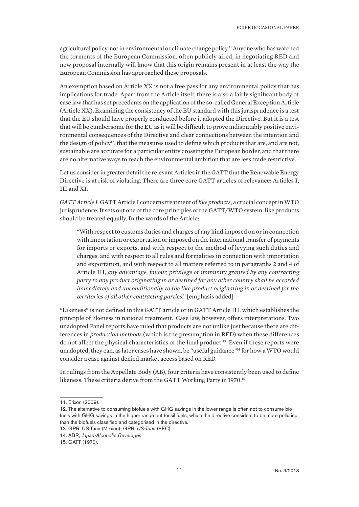agricultural policy, not in environmental or climate change policy.11 Anyone who has watched the torments of the European Commission, often publicly aired, in negotiating RED and new proposal internally will know that this origin remains present in at least the way the European Commission has approached these proposals.

An exemption based on Article XX is not a free pass for any environmental policy that has implications for trade. Apart from the Article itself, there is also a fairly significant body of case law that has set precedents on the application of the so-called General Exception Article (Article XX). Examining the consistency of the EU standard with this jurisprudence is a test that the EU should have properly conducted before it adopted the Directive. But it is a test that will be cumbersome for the EU as it will be difficult to prove indisputably positive environmental consequences of the Directive and clear connections between the intention and the design of policy<sup>12</sup>, that the measures used to define which products that are, and are not, sustainable are accurate for a particular entity crossing the European border, and that there are no alternative ways to reach the environmental ambition that are less trade restrictive.

Let us consider in greater detail the relevant Articles in the GATT that the Renewable Energy Directive is at risk of violating. There are three core GATT articles of relevance: Articles I, III and XI.

*GATT Article I.* GATT Article I concerns treatment of *like products*, a crucial concept in WTO jurisprudence. It sets out one of the core principles of the GATT/WTO system: like products should be treated equally. In the words of the Article:

"With respect to customs duties and charges of any kind imposed on or in connection with importation or exportation or imposed on the international transfer of payments for imports or exports, and with respect to the method of levying such duties and charges, and with respect to all rules and formalities in connection with importation and exportation, and with respect to all matters referred to in paragraphs 2 and 4 of Article III, *any advantage, favour, privilege or immunity granted by any contracting party to any product originating in or destined for any other country shall be accorded immediately and unconditionally to the like product originating in or destined for the territories of all other contracting parties*." [emphasis added]

"Likeness" is not defined in this GATT article or in GATT Article III, which establishes the principle of likeness in national treatment. Case law, however, offers interpretations. Two unadopted Panel reports have ruled that products are not unlike just because there are differences in *production methods* (which is the presumption in RED) when these differences do not affect the physical characteristics of the final product.13 Even if these reports were unadopted, they can, as later cases have shown, be "useful guidance"14 for how a WTO would consider a case against denied market access based on RED.

In rulings from the Appellate Body (AB), four criteria have consistently been used to define likeness. These criteria derive from the GATT Working Party in 1970:<sup>15</sup>

<sup>11.</sup> Erixon (2009).

<sup>12.</sup> The alternative to consuming biofuels with GHG savings in the lower range is often not to consume biofuels with GHG savings in the higher range but fossil fuels, which the directive considers to be more polluting than the biofuels classified and categorised in the directive.

<sup>13.</sup> GPR, US-Tuna (Mexico); GPR, *US-Tuna* (EEC)

<sup>14.</sup> ABR, *Japan-Alcoholic Beverages*

<sup>15.</sup> GATT (1970).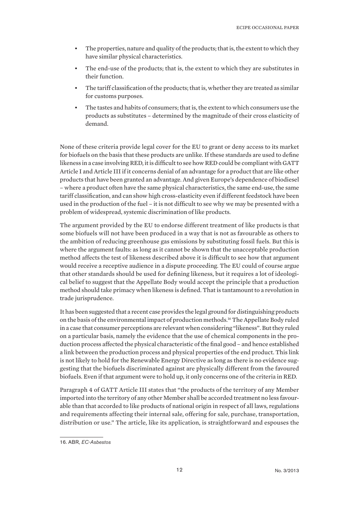- The properties, nature and quality of the products; that is, the extent to which they have similar physical characteristics.
- The end-use of the products; that is, the extent to which they are substitutes in their function.
- The tariff classification of the products; that is, whether they are treated as similar for customs purposes.
- The tastes and habits of consumers; that is, the extent to which consumers use the products as substitutes – determined by the magnitude of their cross elasticity of demand.

None of these criteria provide legal cover for the EU to grant or deny access to its market for biofuels on the basis that these products are unlike. If these standards are used to define likeness in a case involving RED, it is difficult to see how RED could be compliant with GATT Article I and Article III if it concerns denial of an advantage for a product that are like other products that have been granted an advantage. And given Europe's dependence of biodiesel – where a product often have the same physical characteristics, the same end-use, the same tariff classification, and can show high cross-elasticity even if different feedstock have been used in the production of the fuel – it is not difficult to see why we may be presented with a problem of widespread, systemic discrimination of like products.

The argument provided by the EU to endorse different treatment of like products is that some biofuels will not have been produced in a way that is not as favourable as others to the ambition of reducing greenhouse gas emissions by substituting fossil fuels. But this is where the argument faults: as long as it cannot be shown that the unacceptable production method affects the test of likeness described above it is difficult to see how that argument would receive a receptive audience in a dispute proceeding. The EU could of course argue that other standards should be used for defining likeness, but it requires a lot of ideological belief to suggest that the Appellate Body would accept the principle that a production method should take primacy when likeness is defined. That is tantamount to a revolution in trade jurisprudence.

It has been suggested that a recent case provides the legal ground for distinguishing products on the basis of the environmental impact of production methods.16 The Appellate Body ruled in a case that consumer perceptions are relevant when considering "likeness". But they ruled on a particular basis, namely the evidence that the use of chemical components in the production process affected the physical characteristic of the final good – and hence established a link between the production process and physical properties of the end product. This link is not likely to hold for the Renewable Energy Directive as long as there is no evidence suggesting that the biofuels discriminated against are physically different from the favoured biofuels. Even if that argument were to hold up, it only concerns one of the criteria in RED.

Paragraph 4 of GATT Article III states that "the products of the territory of any Member imported into the territory of any other Member shall be accorded treatment no less favourable than that accorded to like products of national origin in respect of all laws, regulations and requirements affecting their internal sale, offering for sale, purchase, transportation, distribution or use." The article, like its application, is straightforward and espouses the

<sup>16.</sup> ABR, *EC-Asbestos*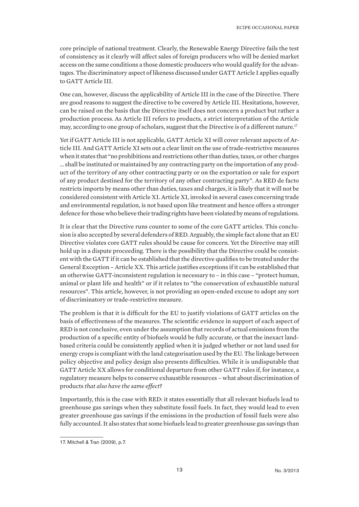core principle of national treatment. Clearly, the Renewable Energy Directive fails the test of consistency as it clearly will affect sales of foreign producers who will be denied market access on the same conditions a those domestic producers who would qualify for the advantages. The discriminatory aspect of likeness discussed under GATT Article I applies equally to GATT Article III.

One can, however, discuss the applicability of Article III in the case of the Directive. There are good reasons to suggest the directive to be covered by Article III. Hesitations, however, can be raised on the basis that the Directive itself does not concern a product but rather a production process. As Article III refers to products, a strict interpretation of the Article may, according to one group of scholars, suggest that the Directive is of a different nature.<sup>17</sup>

Yet if GATT Article III is not applicable, GATT Article XI will cover relevant aspects of Article III. And GATT Article XI sets out a clear limit on the use of trade-restrictive measures when it states that "no prohibitions and restrictions other than duties, taxes, or other charges … shall be instituted or maintained by any contracting party on the importation of any product of the territory of any other contracting party or on the exportation or sale for export of any product destined for the territory of any other contracting party". As RED de facto restricts imports by means other than duties, taxes and charges, it is likely that it will not be considered consistent with Article XI. Article XI, invoked in several cases concerning trade and environmental regulation, is not based upon like treatment and hence offers a stronger defence for those who believe their trading rights have been violated by means of regulations.

It is clear that the Directive runs counter to some of the core GATT articles. This conclusion is also accepted by several defenders of RED. Arguably, the simple fact alone that an EU Directive violates core GATT rules should be cause for concern. Yet the Directive may still hold up in a dispute proceeding. There is the possibility that the Directive could be consistent with the GATT if it can be established that the directive qualifies to be treated under the General Exception – Article XX. This article justifies exceptions if it can be established that an otherwise GATT-inconsistent regulation is necessary to – in this case – "protect human, animal or plant life and health" or if it relates to "the conservation of exhaustible natural resources". This article, however, is not providing an open-ended excuse to adopt any sort of discriminatory or trade-restrictive measure.

The problem is that it is difficult for the EU to justify violations of GATT articles on the basis of effectiveness of the measures. The scientific evidence in support of each aspect of RED is not conclusive, even under the assumption that records of actual emissions from the production of a specific entity of biofuels would be fully accurate, or that the inexact landbased criteria could be consistently applied when it is judged whether or not land used for energy crops is compliant with the land categorisation used by the EU. The linkage between policy objective and policy design also presents difficulties. While it is undisputable that GATT Article XX allows for conditional departure from other GATT rules if, for instance, a regulatory measure helps to conserve exhaustible resources – what about discrimination of products *that also have the same effect*?

Importantly, this is the case with RED: it states essentially that all relevant biofuels lead to greenhouse gas savings when they substitute fossil fuels. In fact, they would lead to even greater greenhouse gas savings if the emissions in the production of fossil fuels were also fully accounted. It also states that some biofuels lead to greater greenhouse gas savings than

<sup>17.</sup> Mitchell & Tran (2009), p.7.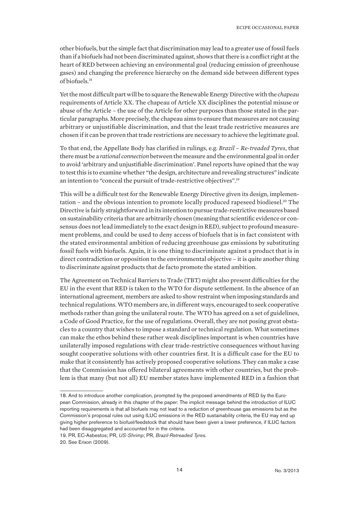other biofuels, but the simple fact that discrimination may lead to a greater use of fossil fuels than if a biofuels had not been discriminated against, shows that there is a conflict right at the heart of RED between achieving an environmental goal (reducing emission of greenhouse gases) and changing the preference hierarchy on the demand side between different types of biofuels.18

Yet the most difficult part will be to square the Renewable Energy Directive with the *chapeau* requirements of Article XX. The chapeau of Article XX disciplines the potential misuse or abuse of the Article – the use of the Article for other purposes than those stated in the particular paragraphs. More precisely, the chapeau aims to ensure that measures are not causing arbitrary or unjustifiable discrimination, and that the least trade restrictive measures are chosen if it can be proven that trade restrictions are necessary to achieve the legitimate goal.

To that end, the Appellate Body has clarified in rulings, e.g. *Brazil – Re-treaded Tyres*, that there must be a *rational connection* between the measure and the environmental goal in order to avoid 'arbitrary and unjustifiable discrimination'. Panel reports have opined that the way to test this is to examine whether "the design, architecture and revealing structures" indicate an intention to "conceal the pursuit of trade-restrictive objectives".<sup>19</sup>

This will be a difficult test for the Renewable Energy Directive given its design, implementation – and the obvious intention to promote locally produced rapeseed biodiesel.<sup>20</sup> The Directive is fairly straightforward in its intention to pursue trade-restrictive measures based on sustainability criteria that are arbitrarily chosen (meaning that scientific evidence or consensus does not lead immediately to the exact design in RED), subject to profound measurement problems, and could be used to deny access of biofuels that is in fact consistent with the stated environmental ambition of reducing greenhouse gas emissions by substituting fossil fuels with biofuels. Again, it is one thing to discriminate against a product that is in direct contradiction or opposition to the environmental objective – it is quite another thing to discriminate against products that de facto promote the stated ambition.

The Agreement on Technical Barriers to Trade (TBT) might also present difficulties for the EU in the event that RED is taken to the WTO for dispute settlement. In the absence of an international agreement, members are asked to show restraint when imposing standards and technical regulations. WTO members are, in different ways, encouraged to seek cooperative methods rather than going the unilateral route. The WTO has agreed on a set of guidelines, a Code of Good Practice, for the use of regulations. Overall, they are not posing great obstacles to a country that wishes to impose a standard or technical regulation. What sometimes can make the ethos behind these rather weak disciplines important is when countries have unilaterally imposed regulations with clear trade-restrictive consequences without having sought cooperative solutions with other countries first. It is a difficult case for the EU to make that it consistently has actively proposed cooperative solutions. They can make a case that the Commission has offered bilateral agreements with other countries, but the problem is that many (but not all) EU member states have implemented RED in a fashion that

<sup>18.</sup> And to introduce another complication, prompted by the proposed amendments of RED by the European Commission, already in this chapter of the paper: The implicit message behind the introduction of ILUC reporting requirements is that all biofuels may not lead to a reduction of greenhouse gas emissions but as the Commission's proposal rules out using ILUC emissions in the RED sustainability criteria, the EU may end up giving higher preference to biofuel/feedstock that should have been given a lower preference, if ILUC factors had been disaggregated and accounted for in the criteria.

<sup>19.</sup> PR, EC-Asbestos; PR, *US-Shrimp*; PR, *Brazil-Retreaded Tyres*.

<sup>20.</sup> See Erixon (2009).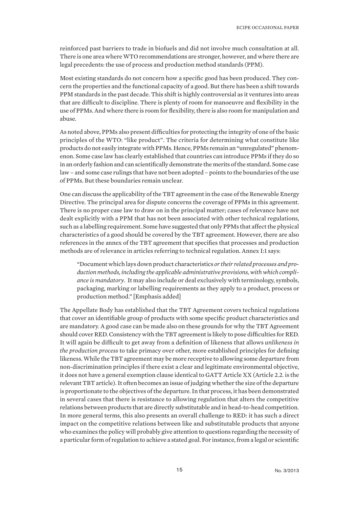reinforced past barriers to trade in biofuels and did not involve much consultation at all. There is one area where WTO recommendations are stronger, however, and where there are legal precedents: the use of process and production method standards (PPM).

Most existing standards do not concern how a specific good has been produced. They concern the properties and the functional capacity of a good. But there has been a shift towards PPM standards in the past decade. This shift is highly controversial as it ventures into areas that are difficult to discipline. There is plenty of room for manoeuvre and flexibility in the use of PPMs. And where there is room for flexibility, there is also room for manipulation and abuse.

As noted above, PPMs also present difficulties for protecting the integrity of one of the basic principles of the WTO: "like product". The criteria for determining what constitute like products do not easily integrate with PPMs. Hence, PPMs remain an "unregulated" phenomenon. Some case law has clearly established that countries can introduce PPMs if they do so in an orderly fashion and can scientifically demonstrate the merits of the standard. Some case law – and some case rulings that have not been adopted – points to the boundaries of the use of PPMs. But these boundaries remain unclear.

One can discuss the applicability of the TBT agreement in the case of the Renewable Energy Directive. The principal area for dispute concerns the coverage of PPMs in this agreement. There is no proper case law to draw on in the principal matter; cases of relevance have not dealt explicitly with a PPM that has not been associated with other technical regulations, such as a labelling requirement. Some have suggested that only PPMs that affect the physical characteristics of a good should be covered by the TBT agreement. However, there are also references in the annex of the TBT agreement that specifies that processes and production methods are of relevance in articles referring to technical regulation. Annex I:1 says:

"Document which lays down product characteristics *or their related processes and production methods, including the applicable administrative provisions, with which compliance is mandatory*. It may also include or deal exclusively with terminology, symbols, packaging, marking or labelling requirements as they apply to a product, process or production method." [Emphasis added]

The Appellate Body has established that the TBT Agreement covers technical regulations that cover an identifiable group of products with some specific product characteristics and are mandatory. A good case can be made also on these grounds for why the TBT Agreement should cover RED. Consistency with the TBT agreement is likely to pose difficulties for RED. It will again be difficult to get away from a definition of likeness that allows *unlikeness in the production process* to take primacy over other, more established principles for defining likeness. While the TBT agreement may be more receptive to allowing some departure from non-discrimination principles if there exist a clear and legitimate environmental objective, it does not have a general exemption clause identical to GATT Article XX (Article 2.2. is the relevant TBT article). It often becomes an issue of judging whether the size of the departure is proportionate to the objectives of the departure. In that process, it has been demonstrated in several cases that there is resistance to allowing regulation that alters the competitive relations between products that are directly substitutable and in head-to-head competition. In more general terms, this also presents an overall challenge to RED: it has such a direct impact on the competitive relations between like and substitutable products that anyone who examines the policy will probably give attention to questions regarding the necessity of a particular form of regulation to achieve a stated goal. For instance, from a legal or scientific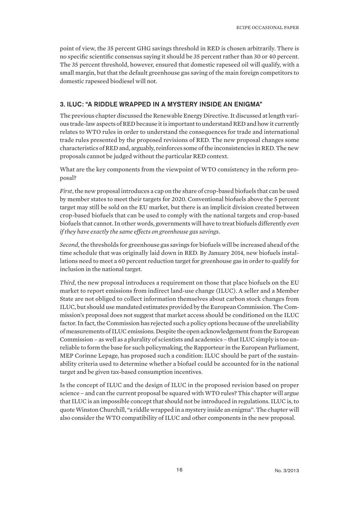point of view, the 35 percent GHG savings threshold in RED is chosen arbitrarily. There is no specific scientific consensus saying it should be 35 percent rather than 30 or 40 percent. The 35 percent threshold, however, ensured that domestic rapeseed oil will qualify, with a small margin, but that the default greenhouse gas saving of the main foreign competitors to domestic rapeseed biodiesel will not.

## 3. ILUC: "A RIDDLE WRAPPED IN A MYSTERY INSIDE AN ENIGMA"

The previous chapter discussed the Renewable Energy Directive. It discussed at length various trade-law aspects of RED because it is important to understand RED and how it currently relates to WTO rules in order to understand the consequences for trade and international trade rules presented by the proposed revisions of RED. The new proposal changes some characteristics of RED and, arguably, reinforces some of the inconsistencies in RED. The new proposals cannot be judged without the particular RED context.

What are the key components from the viewpoint of WTO consistency in the reform proposal?

*First*, the new proposal introduces a cap on the share of crop-based biofuels that can be used by member states to meet their targets for 2020. Conventional biofuels above the 5 percent target may still be sold on the EU market, but there is an implicit division created between crop-based biofuels that can be used to comply with the national targets and crop-based biofuels that cannot. In other words, governments will have to treat biofuels differently *even if they have exactly the same effects on greenhouse gas savings*.

*Second*, the thresholds for greenhouse gas savings for biofuels will be increased ahead of the time schedule that was originally laid down in RED. By January 2014, new biofuels installations need to meet a 60 percent reduction target for greenhouse gas in order to qualify for inclusion in the national target.

*Third*, the new proposal introduces a requirement on those that place biofuels on the EU market to report emissions from indirect land-use change (ILUC). A seller and a Member State are not obliged to collect information themselves about carbon stock changes from ILUC, but should use mandated estimates provided by the European Commission. The Commission's proposal does not suggest that market access should be conditioned on the ILUC factor. In fact, the Commission has rejected such a policy options because of the unreliability of measurements of ILUC emissions. Despite the open acknowledgement from the European Commission – as well as a plurality of scientists and academics – that ILUC simply is too unreliable to form the base for such policymaking, the Rapporteur in the European Parliament, MEP Corinne Lepage, has proposed such a condition: ILUC should be part of the sustainability criteria used to determine whether a biofuel could be accounted for in the national target and be given tax-based consumption incentives.

Is the concept of ILUC and the design of ILUC in the proposed revision based on proper science – and can the current proposal be squared with WTO rules? This chapter will argue that ILUC is an impossible concept that should not be introduced in regulations. ILUC is, to quote Winston Churchill, "a riddle wrapped in a mystery inside an enigma". The chapter will also consider the WTO compatibility of ILUC and other components in the new proposal.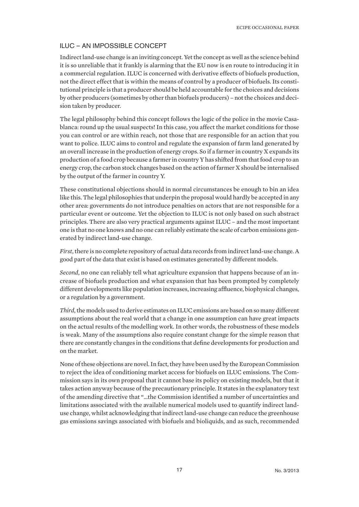## ILUC – AN IMPOSSIBLE CONCEPT

Indirect land-use change is an inviting concept. Yet the concept as well as the science behind it is so unreliable that it frankly is alarming that the EU now is en route to introducing it in a commercial regulation. ILUC is concerned with derivative effects of biofuels production, not the direct effect that is within the means of control by a producer of biofuels. Its constitutional principle is that a producer should be held accountable for the choices and decisions by other producers (sometimes by other than biofuels producers) – not the choices and decision taken by producer.

The legal philosophy behind this concept follows the logic of the police in the movie Casablanca: round up the usual suspects! In this case, you affect the market conditions for those you can control or are within reach, not those that are responsible for an action that you want to police. ILUC aims to control and regulate the expansion of farm land generated by an overall increase in the production of energy crops. So if a farmer in country X expands its production of a food crop because a farmer in country Y has shifted from that food crop to an energy crop, the carbon stock changes based on the action of farmer X should be internalised by the output of the farmer in country Y.

These constitutional objections should in normal circumstances be enough to bin an idea like this. The legal philosophies that underpin the proposal would hardly be accepted in any other area: governments do not introduce penalties on actors that are not responsible for a particular event or outcome. Yet the objection to ILUC is not only based on such abstract principles. There are also very practical arguments against ILUC – and the most important one is that no one knows and no one can reliably estimate the scale of carbon emissions generated by indirect land-use change.

*First*, there is no complete repository of actual data records from indirect land-use change. A good part of the data that exist is based on estimates generated by different models.

*Second*, no one can reliably tell what agriculture expansion that happens because of an increase of biofuels production and what expansion that has been prompted by completely different developments like population increases, increasing affluence, biophysical changes, or a regulation by a government.

*Third*, the models used to derive estimates on ILUC emissions are based on so many different assumptions about the real world that a change in one assumption can have great impacts on the actual results of the modelling work. In other words, the robustness of these models is weak. Many of the assumptions also require constant change for the simple reason that there are constantly changes in the conditions that define developments for production and on the market.

None of these objections are novel. In fact, they have been used by the European Commission to reject the idea of conditioning market access for biofuels on ILUC emissions. The Commission says in its own proposal that it cannot base its policy on existing models, but that it takes action anyway because of the precautionary principle. It states in the explanatory text of the amending directive that "…the Commission identified a number of uncertainties and limitations associated with the available numerical models used to quantify indirect landuse change, whilst acknowledging that indirect land-use change can reduce the greenhouse gas emissions savings associated with biofuels and bioliquids, and as such, recommended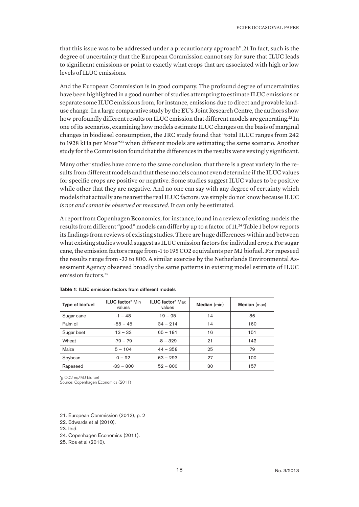that this issue was to be addressed under a precautionary approach".21 In fact, such is the degree of uncertainty that the European Commission cannot say for sure that ILUC leads to significant emissions or point to exactly what crops that are associated with high or low levels of ILUC emissions.

And the European Commission is in good company. The profound degree of uncertainties have been highlighted in a good number of studies attempting to estimate ILUC emissions or separate some ILUC emissions from, for instance, emissions due to direct and provable landuse change. In a large comparative study by the EU's Joint Research Centre, the authors show how profoundly different results on ILUC emission that different models are generating.<sup>22</sup> In one of its scenarios, examining how models estimate ILUC changes on the basis of marginal changes in biodiesel consumption, the JRC study found that "total ILUC ranges from 242 to 1928 kHa per Mtoe"23 when different models are estimating the same scenario. Another study for the Commission found that the differences in the results were vexingly significant.

Many other studies have come to the same conclusion, that there is a great variety in the results from different models and that these models cannot even determine if the ILUC values for specific crops are positive or negative. Some studies suggest ILUC values to be positive while other that they are negative. And no one can say with any degree of certainty which models that actually are nearest the real ILUC factors: we simply do not know because ILUC *is not and cannot be observed or measured*. It can only be estimated.

A report from Copenhagen Economics, for instance, found in a review of existing models the results from different "good" models can differ by up to a factor of 11.24 Table 1 below reports its findings from reviews of existing studies. There are huge differences within and between what existing studies would suggest as ILUC emission factors for individual crops. For sugar cane, the emission factors range from -1 to 195 CO2 equivalents per MJ biofuel. For rapeseed the results range from -33 to 800. A similar exercise by the Netherlands Environmental Assessment Agency observed broadly the same patterns in existing model estimate of ILUC emission factors.<sup>25</sup>

| Type of biofuel | <b>ILUC factor* Min</b><br>values | <b>ILUC factor* Max</b><br>values | Median (min) | Median (max) |
|-----------------|-----------------------------------|-----------------------------------|--------------|--------------|
| Sugar cane      | $-1 - 48$                         | $19 - 95$                         | 14           | 86           |
| Palm oil        | $-55 - 45$                        | $34 - 214$                        | 14           | 160          |
| Sugar beet      | $13 - 33$                         | $65 - 181$                        | 16           | 151          |
| Wheat           | $-79 - 79$                        | $-8 - 329$                        | 21           | 142          |
| Maize           | $5 - 104$                         | $44 - 358$                        | 25           | 79           |
| Soybean         | $0 - 92$                          | $63 - 293$                        | 27           | 100          |
| Rapeseed        | $-33 - 800$                       | $52 - 800$                        | 30           | 157          |

| Table 1: ILUC emission factors from different models |  |  |  |  |  |  |  |
|------------------------------------------------------|--|--|--|--|--|--|--|
|------------------------------------------------------|--|--|--|--|--|--|--|

\*g CO2 eq/MJ biofuel

Source: Copenhagen Economics (2011)

<sup>21.</sup> European Commission (2012), p. 2

<sup>22.</sup> Edwards et al (2010).

<sup>23.</sup> Ibid.

<sup>24.</sup> Copenhagen Economics (2011).

<sup>25.</sup> Ros et al (2010).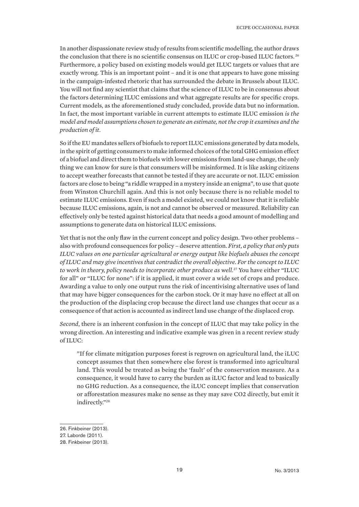In another dispassionate review study of results from scientific modelling, the author draws the conclusion that there is no scientific consensus on ILUC or crop-based ILUC factors.<sup>26</sup> Furthermore, a policy based on existing models would get ILUC targets or values that are exactly wrong. This is an important point – and it is one that appears to have gone missing in the campaign-infested rhetoric that has surrounded the debate in Brussels about ILUC. You will not find any scientist that claims that the science of ILUC to be in consensus about the factors determining ILUC emissions and what aggregate results are for specific crops. Current models, as the aforementioned study concluded, provide data but no information. In fact, the most important variable in current attempts to estimate ILUC emission *is the model and model assumptions chosen to generate an estimate, not the crop it examines and the production of it*.

So if the EU mandates sellers of biofuels to report ILUC emissions generated by data models, in the spirit of getting consumers to make informed choices of the total GHG emission effect of a biofuel and direct them to biofuels with lower emissions from land-use change, the only thing we can know for sure is that consumers will be misinformed. It is like asking citizens to accept weather forecasts that cannot be tested if they are accurate or not. ILUC emission factors are close to being "a riddle wrapped in a mystery inside an enigma", to use that quote from Winston Churchill again. And this is not only because there is no reliable model to estimate ILUC emissions. Even if such a model existed, we could not know that it is reliable because ILUC emissions, again, is not and cannot be observed or measured. Reliability can effectively only be tested against historical data that needs a good amount of modelling and assumptions to generate data on historical ILUC emissions.

Yet that is not the only flaw in the current concept and policy design. Two other problems – also with profound consequences for policy – deserve attention. *First, a policy that only puts ILUC values on one particular agricultural or energy output like biofuels abuses the concept of ILUC and may give incentives that contradict the overall objective. For the concept to ILUC to work in theory, policy needs to incorporate other produce as well.*27 You have either "ILUC for all" or "ILUC for none": if it is applied, it must cover a wide set of crops and produce. Awarding a value to only one output runs the risk of incentivising alternative uses of land that may have bigger consequences for the carbon stock. Or it may have no effect at all on the production of the displacing crop because the direct land use changes that occur as a consequence of that action is accounted as indirect land use change of the displaced crop.

*Second*, there is an inherent confusion in the concept of ILUC that may take policy in the wrong direction. An interesting and indicative example was given in a recent review study of ILUC:

"If for climate mitigation purposes forest is regrown on agricultural land, the iLUC concept assumes that then somewhere else forest is transformed into agricultural land. This would be treated as being the 'fault' of the conservation measure. As a consequence, it would have to carry the burden as iLUC factor and lead to basically no GHG reduction. As a consequence, the iLUC concept implies that conservation or afforestation measures make no sense as they may save CO2 directly, but emit it indirectly."28

<sup>26.</sup> Finkbeiner (2013).

<sup>27.</sup> Laborde (2011).

<sup>28.</sup> Finkbeiner (2013).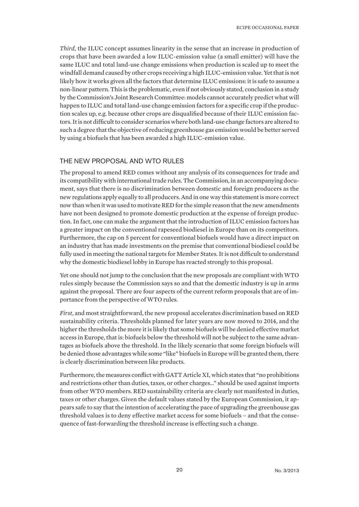*Third*, the ILUC concept assumes linearity in the sense that an increase in production of crops that have been awarded a low ILUC-emission value (a small emitter) will have the same ILUC and total land-use change emissions when production is scaled up to meet the windfall demand caused by other crops receiving a high ILUC-emission value. Yet that is not likely how it works given all the factors that determine ILUC emissions: it is safe to assume a non-linear pattern. This is the problematic, even if not obviously stated, conclusion in a study by the Commission's Joint Research Committee: models cannot accurately predict what will happen to ILUC and total land-use change emission factors for a specific crop if the production scales up, e.g. because other crops are disqualified because of their ILUC emission factors. It is not difficult to consider scenarios where both land-use change factors are altered to such a degree that the objective of reducing greenhouse gas emission would be better served by using a biofuels that has been awarded a high ILUC-emission value.

### THE NEW PROPOSAL AND WTO RULES

The proposal to amend RED comes without any analysis of its consequences for trade and its compatibility with international trade rules. The Commission, in an accompanying document, says that there is no discrimination between domestic and foreign producers as the new regulations apply equally to all producers. And in one way this statement is more correct now than when it was used to motivate RED for the simple reason that the new amendments have not been designed to promote domestic production at the expense of foreign production. In fact, one can make the argument that the introduction of ILUC emission factors has a greater impact on the conventional rapeseed biodiesel in Europe than on its competitors. Furthermore, the cap on 5 percent for conventional biofuels would have a direct impact on an industry that has made investments on the premise that conventional biodiesel could be fully used in meeting the national targets for Member States. It is not difficult to understand why the domestic biodiesel lobby in Europe has reacted strongly to this proposal.

Yet one should not jump to the conclusion that the new proposals are compliant with WTO rules simply because the Commission says so and that the domestic industry is up in arms against the proposal. There are four aspects of the current reform proposals that are of importance from the perspective of WTO rules.

*First*, and most straightforward, the new proposal accelerates discrimination based on RED sustainability criteria. Thresholds planned for later years are now moved to 2014, and the higher the thresholds the more it is likely that some biofuels will be denied effective market access in Europe, that is: biofuels below the threshold will not be subject to the same advantages as biofuels above the threshold. In the likely scenario that some foreign biofuels will be denied those advantages while some "like" biofuels in Europe will be granted them, there is clearly discrimination between like products.

Furthermore, the measures conflict with GATT Article XI, which states that "no prohibitions and restrictions other than duties, taxes, or other charges…" should be used against imports from other WTO members. RED sustainability criteria are clearly not manifested in duties, taxes or other charges. Given the default values stated by the European Commission, it appears safe to say that the intention of accelerating the pace of upgrading the greenhouse gas threshold values is to deny effective market access for some biofuels – and that the consequence of fast-forwarding the threshold increase is effecting such a change.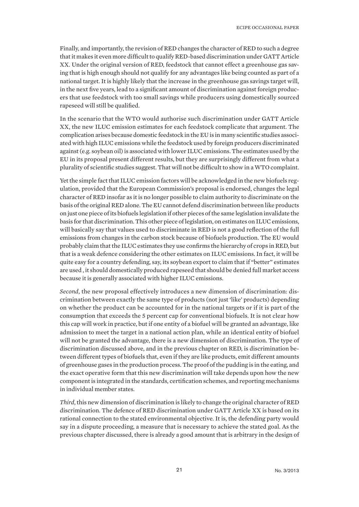Finally, and importantly, the revision of RED changes the character of RED to such a degree that it makes it even more difficult to qualify RED-based discrimination under GATT Article XX. Under the original version of RED, feedstock that cannot effect a greenhouse gas saving that is high enough should not qualify for any advantages like being counted as part of a national target. It is highly likely that the increase in the greenhouse gas savings target will, in the next five years, lead to a significant amount of discrimination against foreign producers that use feedstock with too small savings while producers using domestically sourced rapeseed will still be qualified.

In the scenario that the WTO would authorise such discrimination under GATT Article XX, the new ILUC emission estimates for each feedstock complicate that argument. The complication arises because domestic feedstock in the EU is in many scientific studies associated with high ILUC emissions while the feedstock used by foreign producers discriminated against (e.g. soybean oil) is associated with lower ILUC emissions. The estimates used by the EU in its proposal present different results, but they are surprisingly different from what a plurality of scientific studies suggest. That will not be difficult to show in a WTO complaint.

Yet the simple fact that ILUC emission factors will be acknowledged in the new biofuels regulation, provided that the European Commission's proposal is endorsed, changes the legal character of RED insofar as it is no longer possible to claim authority to discriminate on the basis of the original RED alone. The EU cannot defend discrimination between like products on just one piece of its biofuels legislation if other pieces of the same legislation invalidate the basis for that discrimination. This other piece of legislation, on estimates on ILUC emissions, will basically say that values used to discriminate in RED is not a good reflection of the full emissions from changes in the carbon stock because of biofuels production. The EU would probably claim that the ILUC estimates they use confirms the hierarchy of crops in RED, but that is a weak defence considering the other estimates on ILUC emissions. In fact, it will be quite easy for a country defending, say, its soybean export to claim that if "better" estimates are used , it should domestically produced rapeseed that should be denied full market access because it is generally associated with higher ILUC emissions.

*Second*, the new proposal effectively introduces a new dimension of discrimination: discrimination between exactly the same type of products (not just 'like' products) depending on whether the product can be accounted for in the national targets or if it is part of the consumption that exceeds the 5 percent cap for conventional biofuels. It is not clear how this cap will work in practice, but if one entity of a biofuel will be granted an advantage, like admission to meet the target in a national action plan, while an identical entity of biofuel will not be granted the advantage, there is a new dimension of discrimination. The type of discrimination discussed above, and in the previous chapter on RED, is discrimination between different types of biofuels that, even if they are like products, emit different amounts of greenhouse gases in the production process. The proof of the pudding is in the eating, and the exact operative form that this new discrimination will take depends upon how the new component is integrated in the standards, certification schemes, and reporting mechanisms in individual member states.

*Third*, this new dimension of discrimination is likely to change the original character of RED discrimination. The defence of RED discrimination under GATT Article XX is based on its rational connection to the stated environmental objective. It is, the defending party would say in a dispute proceeding, a measure that is necessary to achieve the stated goal. As the previous chapter discussed, there is already a good amount that is arbitrary in the design of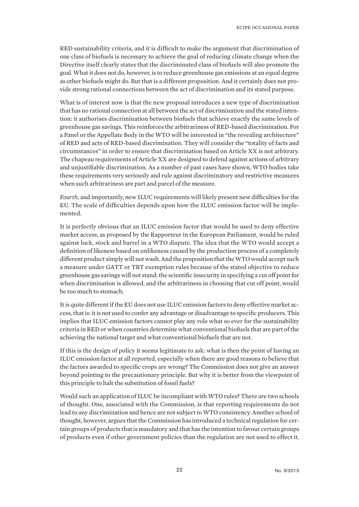RED sustainability criteria, and it is difficult to make the argument that discrimination of one class of biofuels is necessary to achieve the goal of reducing climate change when the Directive itself clearly states that the discriminated class of biofuels will also promote the goal. What it does not do, however, is to reduce greenhouse gas emissions at an equal degree as other biofuels might do. But that is a different proposition. And it certainly does not provide strong rational connections between the act of discrimination and its stated purpose.

What is of interest now is that the new proposal introduces a new type of discrimination that has no rational connection at all between the act of discrimination and the stated intention: it authorises discrimination between biofuels that achieve exactly the same levels of greenhouse gas savings. This reinforces the arbitrariness of RED-based discrimination. For a Panel or the Appellate Body in the WTO will be interested in "the revealing architecture" of RED and acts of RED-based discrimination. They will consider the "totality of facts and circumstances" in order to ensure that discrimination based on Article XX is not arbitrary. The chapeau requirements of Article XX are designed to defend against actions of arbitrary and unjustifiable discrimination. As a number of past cases have shown, WTO bodies take these requirements very seriously and rule against discriminatory and restrictive measures when such arbitrariness are part and parcel of the measure.

*Fourth*, and importantly, new ILUC requirements will likely present new difficulties for the EU. The scale of difficulties depends upon how the ILUC emission factor will be implemented.

It is perfectly obvious that an ILUC emission factor that would be used to deny effective market access, as proposed by the Rapporteur in the European Parliament, would be ruled against lock, stock and barrel in a WTO dispute. The idea that the WTO would accept a definition of likeness based on unlikeness caused by the production process of a completely different product simply will not wash. And the proposition that the WTO would accept such a measure under GATT or TBT exemption rules because of the stated objective to reduce greenhouse gas savings will not stand: the scientific insecurity in specifying a cut off point for when discrimination is allowed, and the arbitrariness in choosing that cut off point, would be too much to stomach.

It is quite different if the EU does not use ILUC emission factors to deny effective market access, that is: it is not used to confer any advantage or disadvantage to specific producers. This implies that ILUC emission factors cannot play any role what so ever for the sustainability criteria in RED or when countries determine what conventional biofuels that are part of the achieving the national target and what conventional biofuels that are not.

If this is the design of policy it seems legitimate to ask: what is then the point of having an ILUC emission factor at all reported, especially when there are good reasons to believe that the factors awarded to specific crops are wrong? The Commission does not give an answer beyond pointing to the precautionary principle. But why it is better from the viewpoint of this principle to halt the substitution of fossil fuels?

Would such an application of ILUC be incompliant with WTO rules? There are two schools of thought. One, associated with the Commission, is that reporting requirements do not lead to any discrimination and hence are not subject to WTO consistency. Another school of thought, however, argues that the Commission has introduced a technical regulation for certain groups of products that is mandatory and that has the intention to favour certain groups of products even if other government policies than the regulation are not used to effect it.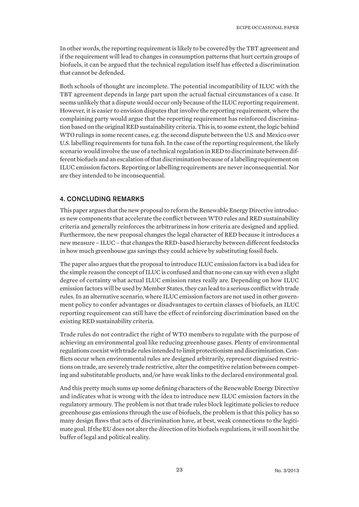In other words, the reporting requirement is likely to be covered by the TBT agreement and if the requirement will lead to changes in consumption patterns that hurt certain groups of biofuels, it can be argued that the technical regulation itself has effected a discrimination that cannot be defended.

Both schools of thought are incomplete. The potential incompatibility of ILUC with the TBT agreement depends in large part upon the actual factual circumstances of a case. It seems unlikely that a dispute would occur only because of the ILUC reporting requirement. However, it is easier to envision disputes that involve the reporting requirement, where the complaining party would argue that the reporting requirement has reinforced discrimination based on the original RED sustainability criteria. This is, to some extent, the logic behind WTO rulings in some recent cases, e.g. the second dispute between the U.S. and Mexico over U.S. labelling requirements for tuna fish. In the case of the reporting requirement, the likely scenario would involve the use of a technical regulation in RED to discriminate between different biofuels and an escalation of that discrimination because of a labelling requirement on ILUC emission factors. Reporting or labelling requirements are never inconsequential. Nor are they intended to be inconsequential.

# 4. CONCLUDING REMARKS

This paper argues that the new proposal to reform the Renewable Energy Directive introduces new components that accelerate the conflict between WTO rules and RED sustainability criteria and generally reinforces the arbitrariness in how criteria are designed and applied. Furthermore, the new proposal changes the legal character of RED because it introduces a new measure – ILUC – that changes the RED-based hierarchy between different feedstocks in how much greenhouse gas savings they could achieve by substituting fossil fuels.

The paper also argues that the proposal to introduce ILUC emission factors is a bad idea for the simple reason the concept of ILUC is confused and that no one can say with even a slight degree of certainty what actual ILUC emission rates really are. Depending on how ILUC emission factors will be used by Member States, they can lead to a serious conflict with trade rules. In an alternative scenario, where ILUC emission factors are not used in other government policy to confer advantages or disadvantages to certain classes of biofuels, an ILUC reporting requirement can still have the effect of reinforcing discrimination based on the existing RED sustainability criteria.

Trade rules do not contradict the right of WTO members to regulate with the purpose of achieving an environmental goal like reducing greenhouse gases. Plenty of environmental regulations coexist with trade rules intended to limit protectionism and discrimination. Conflicts occur when environmental rules are designed arbitrarily, represent disguised restrictions on trade, are severely trade restrictive, alter the competitive relation between competing and substitutable products, and/or have weak links to the declared environmental goal.

And this pretty much sums up some defining characters of the Renewable Energy Directive and indicates what is wrong with the idea to introduce new ILUC emission factors in the regulatory armoury. The problem is not that trade rules block legitimate policies to reduce greenhouse gas emissions through the use of biofuels, the problem is that this policy has so many design flaws that acts of discrimination have, at best, weak connections to the legitimate goal. If the EU does not alter the direction of its biofuels regulations, it will soon hit the buffer of legal and political reality.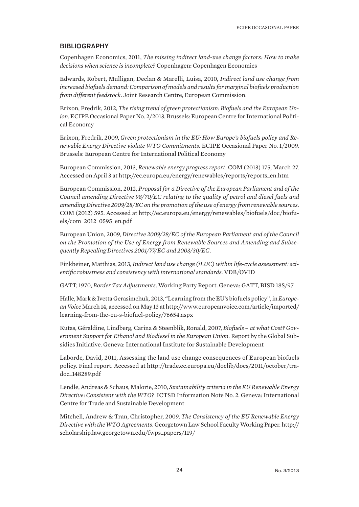## **BIBLIOGRAPHY**

Copenhagen Economics, 2011, *The missing indirect land-use change factors: How to make decisions when science is incomplete?* Copenhagen: Copenhagen Economics

Edwards, Robert, Mulligan, Declan & Marelli, Luisa, 2010, *Indirect land use change from increased biofuels demand: Comparison of models and results for marginal biofuels production from different feedstock*. Joint Research Centre, European Commission.

Erixon, Fredrik, 2012, *The rising trend of green protectionism: Biofuels and the European Union*. ECIPE Occasional Paper No. 2/2013. Brussels: European Centre for International Political Economy

Erixon, Fredrik, 2009, *Green protectionism in the EU: How Europe's biofuels policy and Renewable Energy Directive violate WTO Commitments*. ECIPE Occasional Paper No. 1/2009. Brussels: European Centre for International Political Economy

European Commission, 2013, *Renewable energy progress report*. COM (2013) 175, March 27. Accessed on April 3 at http://ec.europa.eu/energy/renewables/reports/reports\_en.htm

European Commission, 2012, *Proposal for a Directive of the European Parliament and of the Council amending Directive 98/70/EC relating to the quality of petrol and diesel fuels and amending Directive 2009/28/EC on the promotion of the use of energy from renewable sources*. COM (2012) 595. Accessed at http://ec.europa.eu/energy/renewables/biofuels/doc/biofuels/com\_2012\_0595\_en.pdf

European Union, 2009, *Directive 2009/28/EC of the European Parliament and of the Council on the Promotion of the Use of Energy from Renewable Sources and Amending and Subsequently Repealing Directives 2001/77/EC and 2003/30/EC*.

Finkbeiner, Matthias, 2013, *Indirect land use change (iLUC) within life-cycle assessment: scientific robustness and consistency with international standards.* VDB/OVID

GATT, 1970, *Border Tax Adjustments*. Working Party Report. Geneva: GATT, BISD 18S/97

Halle, Mark & Ivetta Gerasimchuk, 2013, "Learning from the EU's biofuels policy", in *European Voice* March 14, accessed on May 13 at http://www.europeanvoice.com/article/imported/ learning-from-the-eu-s-biofuel-policy/76654.aspx

Kutas, Géraldine, Lindberg, Carina & Steenblik, Ronald, 2007, *Biofuels – at what Cost? Government Support for Ethanol and Biodiesel in the European Union*. Report by the Global Subsidies Initiative. Geneva: International Institute for Sustainable Development

Laborde, David, 2011, Assessing the land use change consequences of European biofuels policy. Final report. Accessed at http://trade.ec.europa.eu/doclib/docs/2011/october/tradoc\_148289.pdf

Lendle, Andreas & Schaus, Malorie, 2010, *Sustainability criteria in the EU Renewable Energy Directive: Consistent with the WTO?* ICTSD Information Note No. 2. Geneva: International Centre for Trade and Sustainable Development

Mitchell, Andrew & Tran, Christopher, 2009, *The Consistency of the EU Renewable Energy Directive with the WTO Agreements*. Georgetown Law School Faculty Working Paper. http:// scholarship.law.georgetown.edu/fwps\_papers/119/